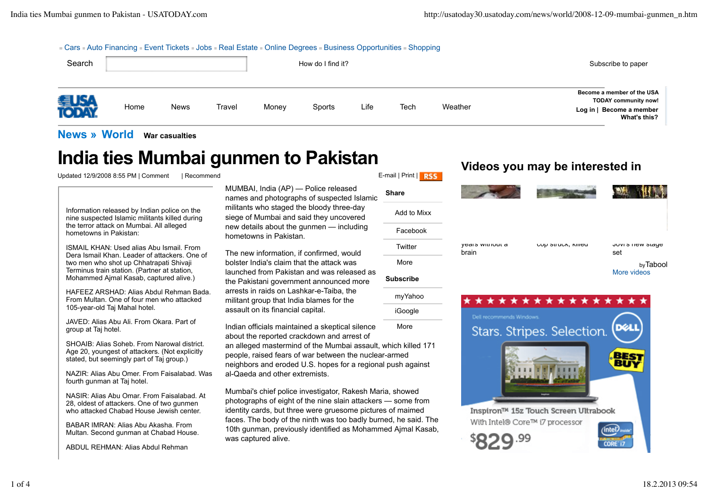### **Example 2** - Auto Financing Event Tickets **Edge Boots Real Estate Bonline Degrees Business Opportunities Bhopping**

| Search |      |             |        |       | How do I find it? |      |      |         | Subscribe to paper                                                                                    |
|--------|------|-------------|--------|-------|-------------------|------|------|---------|-------------------------------------------------------------------------------------------------------|
| 得收。    | Home | <b>News</b> | Travel | Money | Sports            | Life | Tech | Weather | Become a member of the USA<br><b>TODAY community now!</b><br>Log in   Become a member<br>What's this? |

myYahoo iGoogle

# **News » World War casualties**

# **India ties Mumbai gunmen to Pakistan**<br>
Updated 12/9/2008 8:55 PM I Comment Recommend

Updated 12/9/2008 8:55 PM | Comment

Information released by Indian police on the nine suspected Islamic militants killed during the terror attack on Mumbai. All alleged hometowns in Pakistan:

ISMAIL KHAN: Used alias Abu Ismail. From Dera Ismail Khan. Leader of attackers. One of two men who shot up Chhatrapati Shivaji Terminus train station. (Partner at station, Mohammed Ajmal Kasab, captured alive.)

HAFEEZ ARSHAD: Alias Abdul Rehman Bada. From Multan. One of four men who attacked 105-year-old Taj Mahal hotel.

JAVED: Alias Abu Ali. From Okara. Part of group at Taj hotel.

SHOAIB: Alias Soheb. From Narowal district. Age 20, youngest of attackers. (Not explicitly stated, but seemingly part of Taj group.)

NAZIR: Alias Abu Omer. From Faisalabad. Was fourth gunman at Taj hotel.

NASIR: Alias Abu Omar. From Faisalabad. At 28, oldest of attackers. One of two gunmen who attacked Chabad House Jewish center.

BABAR IMRAN: Alias Abu Akasha. From Multan. Second gunman at Chabad House.

ABDUL REHMAN: Alias Abdul Rehman

MUMBAI, India (AP) — Police released names and photographs of suspected Islamic militants who staged the bloody three-day siege of Mumbai and said they uncovered new details about the gunmen — including hometowns in Pakistan.

The new information, if confirmed, would bolster India's claim that the attack was launched from Pakistan and was released as the Pakistani government announced more arrests in raids on Lashkar-e-Taiba, the militant group that India blames for the assault on its financial capital.

**More** Indian officials maintained a skeptical silence about the reported crackdown and arrest of an alleged mastermind of the Mumbai assault, which killed 171 people, raised fears of war between the nuclear-armed neighbors and eroded U.S. hopes for a regional push against al-Qaeda and other extremists.

Mumbai's chief police investigator, Rakesh Maria, showed photographs of eight of the nine slain attackers — some from identity cards, but three were gruesome pictures of maimed faces. The body of the ninth was too badly burned, he said. The 10th gunman, previously identified as Mohammed Ajmal Kasab, was captured alive.

| <b>Share</b>     | <b>MAG</b>               |                    |                         |
|------------------|--------------------------|--------------------|-------------------------|
| Add to Mixx      |                          |                    |                         |
| Facebook         |                          |                    |                         |
| Twitter          | years without a<br>brain | CUP Struck, Killeu | JUVIS HEW SLAYE<br>set  |
| More             |                          |                    | byTabool<br>More videos |
| <b>Subscribe</b> |                          |                    |                         |

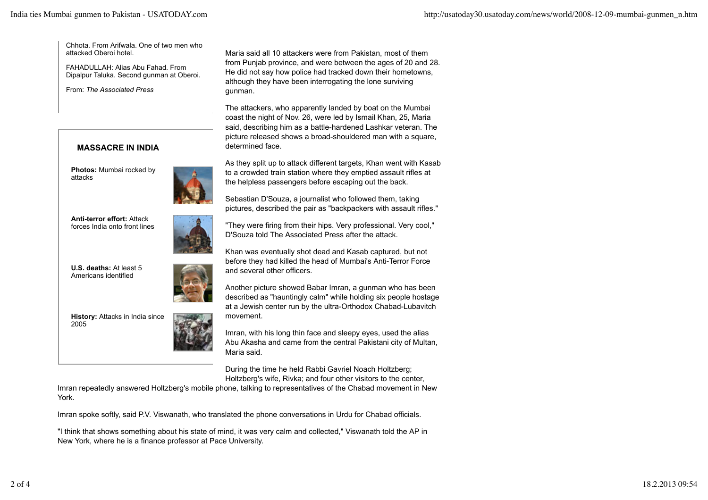Chhota. From Arifwala. One of two men who attacked Oberoi hotel.

FAHADULLAH: Alias Abu Fahad. From Dipalpur Taluka. Second gunman at Oberoi.

From: *The Associated Press*

## **MASSACRE IN INDIA**

**Photos:** Mumbai rocked by attacks



**Anti-terror effort:** Attack forces India onto front lines

**U.S. deaths:** At least 5 Americans identified



**History:** Attacks in India since 2005



Imran, with his long thin face and sleepy eyes, used the alias Abu Akasha and came from the central Pakistani city of Multan, Maria said.

During the time he held Rabbi Gavriel Noach Holtzberg; Holtzberg's wife, Rivka; and four other visitors to the center,

Imran repeatedly answered Holtzberg's mobile phone, talking to representatives of the Chabad movement in New York.

movement.

Imran spoke softly, said P.V. Viswanath, who translated the phone conversations in Urdu for Chabad officials.

"I think that shows something about his state of mind, it was very calm and collected," Viswanath told the AP in New York, where he is a finance professor at Pace University.

Maria said all 10 attackers were from Pakistan, most of them from Punjab province, and were between the ages of 20 and 28. He did not say how police had tracked down their hometowns, although they have been interrogating the lone surviving gunman.

The attackers, who apparently landed by boat on the Mumbai coast the night of Nov. 26, were led by Ismail Khan, 25, Maria said, describing him as a battle-hardened Lashkar veteran. The picture released shows a broad-shouldered man with a square, determined face.

As they split up to attack different targets, Khan went with Kasab to a crowded train station where they emptied assault rifles at the helpless passengers before escaping out the back.

Sebastian D'Souza, a journalist who followed them, taking pictures, described the pair as "backpackers with assault rifles."

"They were firing from their hips. Very professional. Very cool," D'Souza told The Associated Press after the attack.

Khan was eventually shot dead and Kasab captured, but not before they had killed the head of Mumbai's Anti-Terror Force and several other officers.

Another picture showed Babar Imran, a gunman who has been described as "hauntingly calm" while holding six people hostage at a Jewish center run by the ultra-Orthodox Chabad-Lubavitch